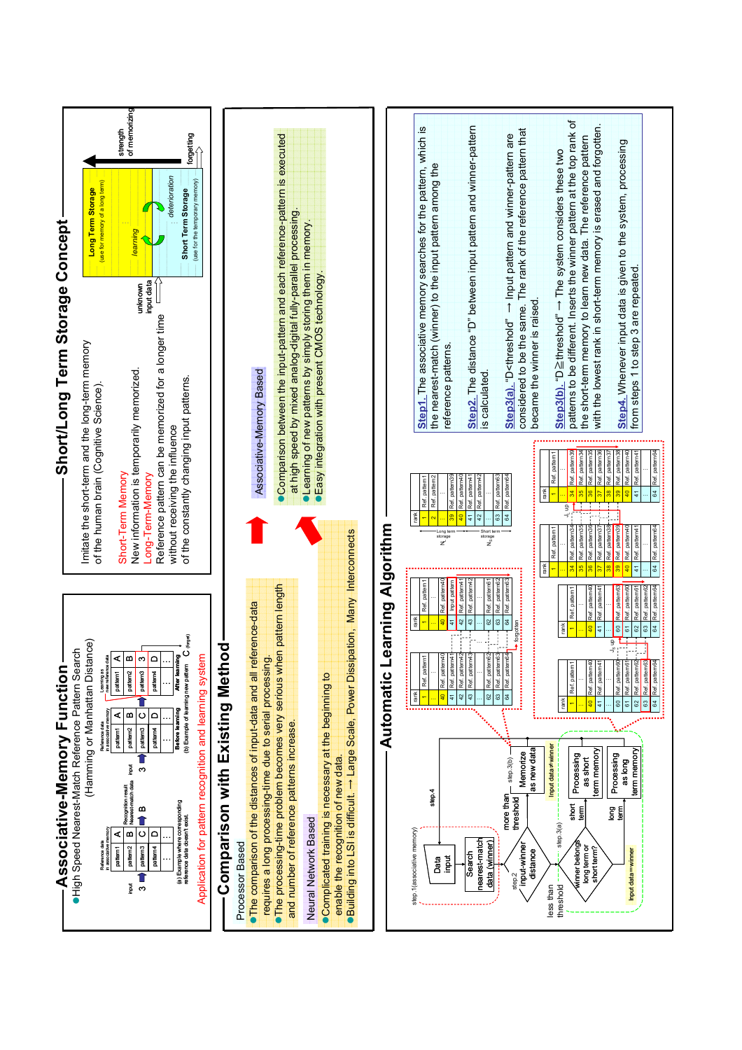